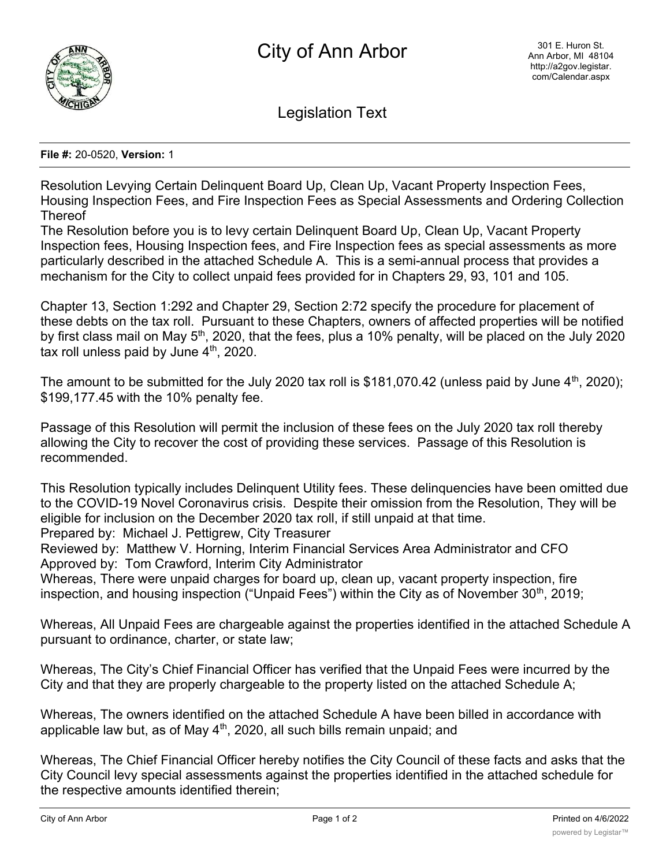

Legislation Text

## **File #:** 20-0520, **Version:** 1

Resolution Levying Certain Delinquent Board Up, Clean Up, Vacant Property Inspection Fees, Housing Inspection Fees, and Fire Inspection Fees as Special Assessments and Ordering Collection **Thereof** 

The Resolution before you is to levy certain Delinquent Board Up, Clean Up, Vacant Property Inspection fees, Housing Inspection fees, and Fire Inspection fees as special assessments as more particularly described in the attached Schedule A. This is a semi-annual process that provides a mechanism for the City to collect unpaid fees provided for in Chapters 29, 93, 101 and 105.

Chapter 13, Section 1:292 and Chapter 29, Section 2:72 specify the procedure for placement of these debts on the tax roll. Pursuant to these Chapters, owners of affected properties will be notified by first class mail on May 5<sup>th</sup>, 2020, that the fees, plus a 10% penalty, will be placed on the July 2020 tax roll unless paid by June  $4<sup>th</sup>$ , 2020.

The amount to be submitted for the July 2020 tax roll is \$181,070.42 (unless paid by June  $4<sup>th</sup>$ , 2020); \$199,177.45 with the 10% penalty fee.

Passage of this Resolution will permit the inclusion of these fees on the July 2020 tax roll thereby allowing the City to recover the cost of providing these services. Passage of this Resolution is recommended.

This Resolution typically includes Delinquent Utility fees. These delinquencies have been omitted due to the COVID-19 Novel Coronavirus crisis. Despite their omission from the Resolution, They will be eligible for inclusion on the December 2020 tax roll, if still unpaid at that time.

Prepared by: Michael J. Pettigrew, City Treasurer

Reviewed by: Matthew V. Horning, Interim Financial Services Area Administrator and CFO Approved by: Tom Crawford, Interim City Administrator

Whereas, There were unpaid charges for board up, clean up, vacant property inspection, fire inspection, and housing inspection ("Unpaid Fees") within the City as of November  $30<sup>th</sup>$ , 2019;

Whereas, All Unpaid Fees are chargeable against the properties identified in the attached Schedule A pursuant to ordinance, charter, or state law;

Whereas, The City's Chief Financial Officer has verified that the Unpaid Fees were incurred by the City and that they are properly chargeable to the property listed on the attached Schedule A;

Whereas, The owners identified on the attached Schedule A have been billed in accordance with applicable law but, as of May  $4<sup>th</sup>$ , 2020, all such bills remain unpaid; and

Whereas, The Chief Financial Officer hereby notifies the City Council of these facts and asks that the City Council levy special assessments against the properties identified in the attached schedule for the respective amounts identified therein;